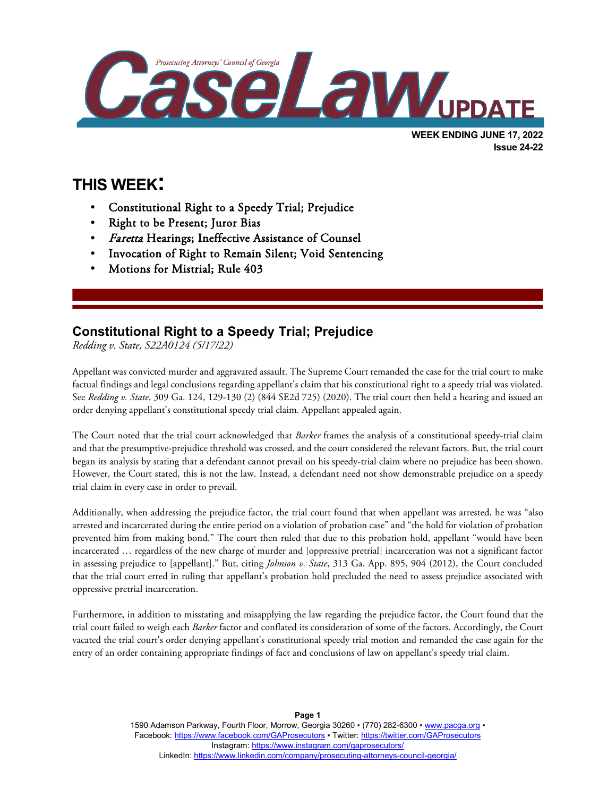

# **THIS WEEK:**

l

- Constitutional Right to a Speedy Trial; Prejudice
- Right to be Present; Juror Bias
- Faretta Hearings; Ineffective Assistance of Counsel
- Invocation of Right to Remain Silent; Void Sentencing
- Motions for Mistrial; Rule 403

## **Constitutional Right to a Speedy Trial; Prejudice**

*Redding v. State, S22A0124 (5/17/22)*

Appellant was convicted murder and aggravated assault. The Supreme Court remanded the case for the trial court to make factual findings and legal conclusions regarding appellant's claim that his constitutional right to a speedy trial was violated. See *Redding v. State*, 309 Ga. 124, 129-130 (2) (844 SE2d 725) (2020). The trial court then held a hearing and issued an order denying appellant's constitutional speedy trial claim. Appellant appealed again.

The Court noted that the trial court acknowledged that *Barker* frames the analysis of a constitutional speedy-trial claim and that the presumptive-prejudice threshold was crossed, and the court considered the relevant factors. But, the trial court began its analysis by stating that a defendant cannot prevail on his speedy-trial claim where no prejudice has been shown. However, the Court stated, this is not the law. Instead, a defendant need not show demonstrable prejudice on a speedy trial claim in every case in order to prevail.

Additionally, when addressing the prejudice factor, the trial court found that when appellant was arrested, he was "also arrested and incarcerated during the entire period on a violation of probation case" and "the hold for violation of probation prevented him from making bond." The court then ruled that due to this probation hold, appellant "would have been incarcerated … regardless of the new charge of murder and [oppressive pretrial] incarceration was not a significant factor in assessing prejudice to [appellant]." But, citing *Johnson v. State*, 313 Ga. App. 895, 904 (2012), the Court concluded that the trial court erred in ruling that appellant's probation hold precluded the need to assess prejudice associated with oppressive pretrial incarceration.

Furthermore, in addition to misstating and misapplying the law regarding the prejudice factor, the Court found that the trial court failed to weigh each *Barker* factor and conflated its consideration of some of the factors. Accordingly, the Court vacated the trial court's order denying appellant's constitutional speedy trial motion and remanded the case again for the entry of an order containing appropriate findings of fact and conclusions of law on appellant's speedy trial claim.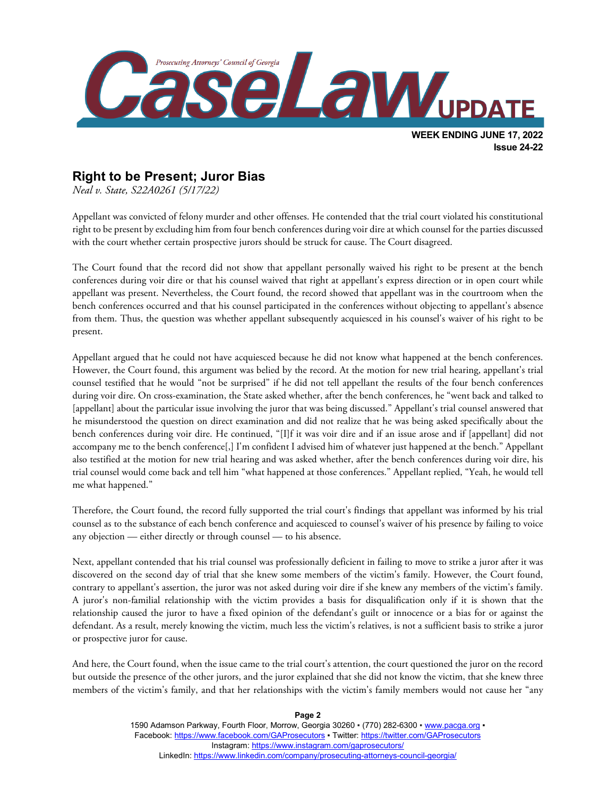

#### **Right to be Present; Juror Bias**

*Neal v. State, S22A0261 (5/17/22)*

Appellant was convicted of felony murder and other offenses. He contended that the trial court violated his constitutional right to be present by excluding him from four bench conferences during voir dire at which counsel for the parties discussed with the court whether certain prospective jurors should be struck for cause. The Court disagreed.

The Court found that the record did not show that appellant personally waived his right to be present at the bench conferences during voir dire or that his counsel waived that right at appellant's express direction or in open court while appellant was present. Nevertheless, the Court found, the record showed that appellant was in the courtroom when the bench conferences occurred and that his counsel participated in the conferences without objecting to appellant's absence from them. Thus, the question was whether appellant subsequently acquiesced in his counsel's waiver of his right to be present.

Appellant argued that he could not have acquiesced because he did not know what happened at the bench conferences. However, the Court found, this argument was belied by the record. At the motion for new trial hearing, appellant's trial counsel testified that he would "not be surprised" if he did not tell appellant the results of the four bench conferences during voir dire. On cross-examination, the State asked whether, after the bench conferences, he "went back and talked to [appellant] about the particular issue involving the juror that was being discussed." Appellant's trial counsel answered that he misunderstood the question on direct examination and did not realize that he was being asked specifically about the bench conferences during voir dire. He continued, "[I]f it was voir dire and if an issue arose and if [appellant] did not accompany me to the bench conference[,] I'm confident I advised him of whatever just happened at the bench." Appellant also testified at the motion for new trial hearing and was asked whether, after the bench conferences during voir dire, his trial counsel would come back and tell him "what happened at those conferences." Appellant replied, "Yeah, he would tell me what happened."

Therefore, the Court found, the record fully supported the trial court's findings that appellant was informed by his trial counsel as to the substance of each bench conference and acquiesced to counsel's waiver of his presence by failing to voice any objection — either directly or through counsel — to his absence.

Next, appellant contended that his trial counsel was professionally deficient in failing to move to strike a juror after it was discovered on the second day of trial that she knew some members of the victim's family. However, the Court found, contrary to appellant's assertion, the juror was not asked during voir dire if she knew any members of the victim's family. A juror's non-familial relationship with the victim provides a basis for disqualification only if it is shown that the relationship caused the juror to have a fixed opinion of the defendant's guilt or innocence or a bias for or against the defendant. As a result, merely knowing the victim, much less the victim's relatives, is not a sufficient basis to strike a juror or prospective juror for cause.

And here, the Court found, when the issue came to the trial court's attention, the court questioned the juror on the record but outside the presence of the other jurors, and the juror explained that she did not know the victim, that she knew three members of the victim's family, and that her relationships with the victim's family members would not cause her "any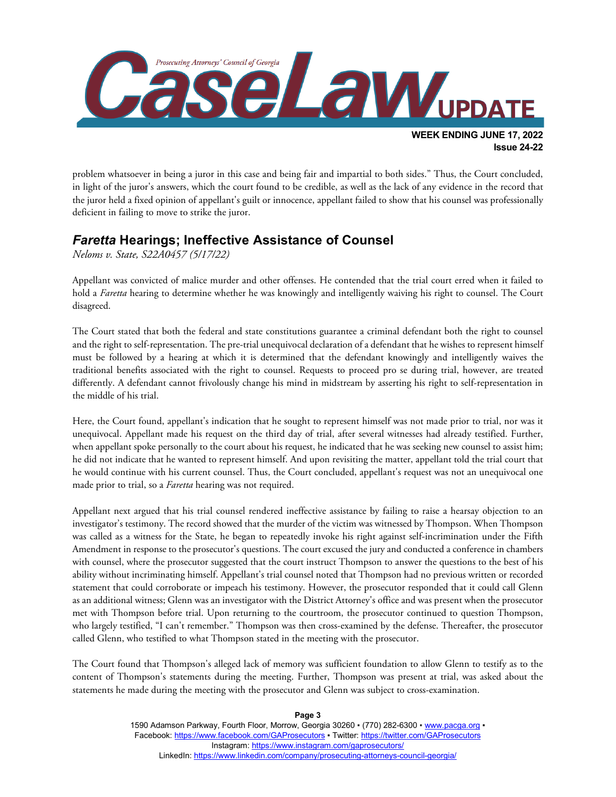

problem whatsoever in being a juror in this case and being fair and impartial to both sides." Thus, the Court concluded, in light of the juror's answers, which the court found to be credible, as well as the lack of any evidence in the record that the juror held a fixed opinion of appellant's guilt or innocence, appellant failed to show that his counsel was professionally deficient in failing to move to strike the juror.

#### *Faretta* **Hearings; Ineffective Assistance of Counsel**

*Neloms v. State, S22A0457 (5/17/22)*

Appellant was convicted of malice murder and other offenses. He contended that the trial court erred when it failed to hold a *Faretta* hearing to determine whether he was knowingly and intelligently waiving his right to counsel. The Court disagreed.

The Court stated that both the federal and state constitutions guarantee a criminal defendant both the right to counsel and the right to self-representation. The pre-trial unequivocal declaration of a defendant that he wishes to represent himself must be followed by a hearing at which it is determined that the defendant knowingly and intelligently waives the traditional benefits associated with the right to counsel. Requests to proceed pro se during trial, however, are treated differently. A defendant cannot frivolously change his mind in midstream by asserting his right to self-representation in the middle of his trial.

Here, the Court found, appellant's indication that he sought to represent himself was not made prior to trial, nor was it unequivocal. Appellant made his request on the third day of trial, after several witnesses had already testified. Further, when appellant spoke personally to the court about his request, he indicated that he was seeking new counsel to assist him; he did not indicate that he wanted to represent himself. And upon revisiting the matter, appellant told the trial court that he would continue with his current counsel. Thus, the Court concluded, appellant's request was not an unequivocal one made prior to trial, so a *Faretta* hearing was not required.

Appellant next argued that his trial counsel rendered ineffective assistance by failing to raise a hearsay objection to an investigator's testimony. The record showed that the murder of the victim was witnessed by Thompson. When Thompson was called as a witness for the State, he began to repeatedly invoke his right against self-incrimination under the Fifth Amendment in response to the prosecutor's questions. The court excused the jury and conducted a conference in chambers with counsel, where the prosecutor suggested that the court instruct Thompson to answer the questions to the best of his ability without incriminating himself. Appellant's trial counsel noted that Thompson had no previous written or recorded statement that could corroborate or impeach his testimony. However, the prosecutor responded that it could call Glenn as an additional witness; Glenn was an investigator with the District Attorney's office and was present when the prosecutor met with Thompson before trial. Upon returning to the courtroom, the prosecutor continued to question Thompson, who largely testified, "I can't remember." Thompson was then cross-examined by the defense. Thereafter, the prosecutor called Glenn, who testified to what Thompson stated in the meeting with the prosecutor.

The Court found that Thompson's alleged lack of memory was sufficient foundation to allow Glenn to testify as to the content of Thompson's statements during the meeting. Further, Thompson was present at trial, was asked about the statements he made during the meeting with the prosecutor and Glenn was subject to cross-examination.

**Page 3**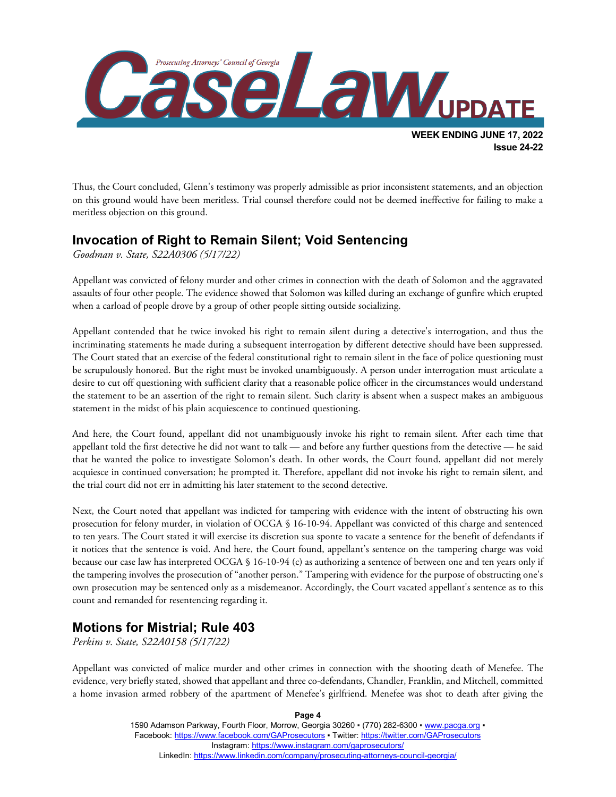

Thus, the Court concluded, Glenn's testimony was properly admissible as prior inconsistent statements, and an objection on this ground would have been meritless. Trial counsel therefore could not be deemed ineffective for failing to make a meritless objection on this ground.

## **Invocation of Right to Remain Silent; Void Sentencing**

*Goodman v. State, S22A0306 (5/17/22)*

Appellant was convicted of felony murder and other crimes in connection with the death of Solomon and the aggravated assaults of four other people. The evidence showed that Solomon was killed during an exchange of gunfire which erupted when a carload of people drove by a group of other people sitting outside socializing.

Appellant contended that he twice invoked his right to remain silent during a detective's interrogation, and thus the incriminating statements he made during a subsequent interrogation by different detective should have been suppressed. The Court stated that an exercise of the federal constitutional right to remain silent in the face of police questioning must be scrupulously honored. But the right must be invoked unambiguously. A person under interrogation must articulate a desire to cut off questioning with sufficient clarity that a reasonable police officer in the circumstances would understand the statement to be an assertion of the right to remain silent. Such clarity is absent when a suspect makes an ambiguous statement in the midst of his plain acquiescence to continued questioning.

And here, the Court found, appellant did not unambiguously invoke his right to remain silent. After each time that appellant told the first detective he did not want to talk — and before any further questions from the detective — he said that he wanted the police to investigate Solomon's death. In other words, the Court found, appellant did not merely acquiesce in continued conversation; he prompted it. Therefore, appellant did not invoke his right to remain silent, and the trial court did not err in admitting his later statement to the second detective.

Next, the Court noted that appellant was indicted for tampering with evidence with the intent of obstructing his own prosecution for felony murder, in violation of OCGA § 16-10-94. Appellant was convicted of this charge and sentenced to ten years. The Court stated it will exercise its discretion sua sponte to vacate a sentence for the benefit of defendants if it notices that the sentence is void. And here, the Court found, appellant's sentence on the tampering charge was void because our case law has interpreted OCGA § 16-10-94 (c) as authorizing a sentence of between one and ten years only if the tampering involves the prosecution of "another person." Tampering with evidence for the purpose of obstructing one's own prosecution may be sentenced only as a misdemeanor. Accordingly, the Court vacated appellant's sentence as to this count and remanded for resentencing regarding it.

## **Motions for Mistrial; Rule 403**

*Perkins v. State, S22A0158 (5/17/22)*

Appellant was convicted of malice murder and other crimes in connection with the shooting death of Menefee. The evidence, very briefly stated, showed that appellant and three co-defendants, Chandler, Franklin, and Mitchell, committed a home invasion armed robbery of the apartment of Menefee's girlfriend. Menefee was shot to death after giving the

> 1590 Adamson Parkway, Fourth Floor, Morrow, Georgia 30260 · (770) 282-6300 · [www.pacga.org](http://www.pacga.org/) · Facebook[: https://www.facebook.com/GAProsecutors](https://www.facebook.com/GAProsecutors) ▪ Twitter:<https://twitter.com/GAProsecutors> Instagram[: https://www.instagram.com/gaprosecutors/](https://www.instagram.com/gaprosecutors/) LinkedIn:<https://www.linkedin.com/company/prosecuting-attorneys-council-georgia/>

**Page 4**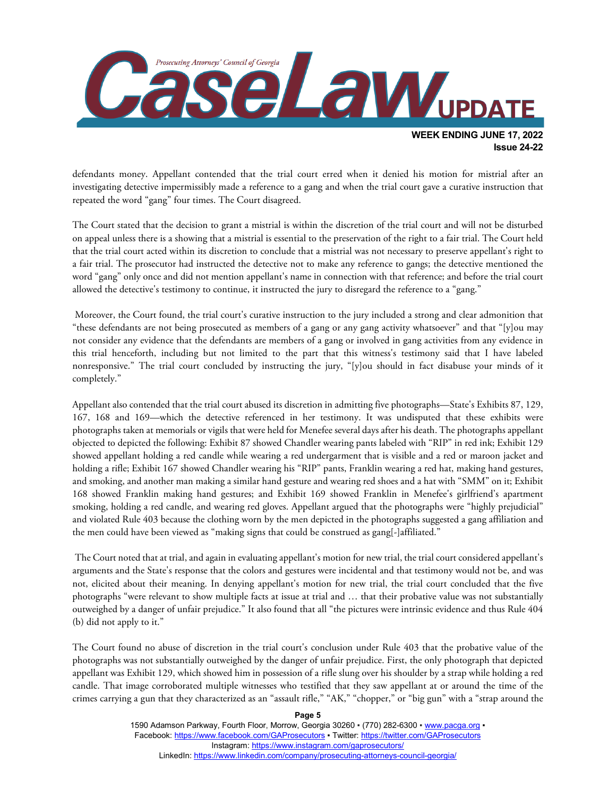

defendants money. Appellant contended that the trial court erred when it denied his motion for mistrial after an investigating detective impermissibly made a reference to a gang and when the trial court gave a curative instruction that repeated the word "gang" four times. The Court disagreed.

The Court stated that the decision to grant a mistrial is within the discretion of the trial court and will not be disturbed on appeal unless there is a showing that a mistrial is essential to the preservation of the right to a fair trial. The Court held that the trial court acted within its discretion to conclude that a mistrial was not necessary to preserve appellant's right to a fair trial. The prosecutor had instructed the detective not to make any reference to gangs; the detective mentioned the word "gang" only once and did not mention appellant's name in connection with that reference; and before the trial court allowed the detective's testimony to continue, it instructed the jury to disregard the reference to a "gang."

Moreover, the Court found, the trial court's curative instruction to the jury included a strong and clear admonition that "these defendants are not being prosecuted as members of a gang or any gang activity whatsoever" and that "[y]ou may not consider any evidence that the defendants are members of a gang or involved in gang activities from any evidence in this trial henceforth, including but not limited to the part that this witness's testimony said that I have labeled nonresponsive." The trial court concluded by instructing the jury, "[y]ou should in fact disabuse your minds of it completely."

Appellant also contended that the trial court abused its discretion in admitting five photographs—State's Exhibits 87, 129, 167, 168 and 169—which the detective referenced in her testimony. It was undisputed that these exhibits were photographs taken at memorials or vigils that were held for Menefee several days after his death. The photographs appellant objected to depicted the following: Exhibit 87 showed Chandler wearing pants labeled with "RIP" in red ink; Exhibit 129 showed appellant holding a red candle while wearing a red undergarment that is visible and a red or maroon jacket and holding a rifle; Exhibit 167 showed Chandler wearing his "RIP" pants, Franklin wearing a red hat, making hand gestures, and smoking, and another man making a similar hand gesture and wearing red shoes and a hat with "SMM" on it; Exhibit 168 showed Franklin making hand gestures; and Exhibit 169 showed Franklin in Menefee's girlfriend's apartment smoking, holding a red candle, and wearing red gloves. Appellant argued that the photographs were "highly prejudicial" and violated Rule 403 because the clothing worn by the men depicted in the photographs suggested a gang affiliation and the men could have been viewed as "making signs that could be construed as gang[-]affiliated."

The Court noted that at trial, and again in evaluating appellant's motion for new trial, the trial court considered appellant's arguments and the State's response that the colors and gestures were incidental and that testimony would not be, and was not, elicited about their meaning. In denying appellant's motion for new trial, the trial court concluded that the five photographs "were relevant to show multiple facts at issue at trial and … that their probative value was not substantially outweighed by a danger of unfair prejudice." It also found that all "the pictures were intrinsic evidence and thus Rule 404 (b) did not apply to it."

The Court found no abuse of discretion in the trial court's conclusion under Rule 403 that the probative value of the photographs was not substantially outweighed by the danger of unfair prejudice. First, the only photograph that depicted appellant was Exhibit 129, which showed him in possession of a rifle slung over his shoulder by a strap while holding a red candle. That image corroborated multiple witnesses who testified that they saw appellant at or around the time of the crimes carrying a gun that they characterized as an "assault rifle," "AK," "chopper," or "big gun" with a "strap around the

> 1590 Adamson Parkway, Fourth Floor, Morrow, Georgia 30260 · (770) 282-6300 · [www.pacga.org](http://www.pacga.org/) · Facebook[: https://www.facebook.com/GAProsecutors](https://www.facebook.com/GAProsecutors) ▪ Twitter:<https://twitter.com/GAProsecutors> Instagram[: https://www.instagram.com/gaprosecutors/](https://www.instagram.com/gaprosecutors/) LinkedIn:<https://www.linkedin.com/company/prosecuting-attorneys-council-georgia/>

**Page 5**